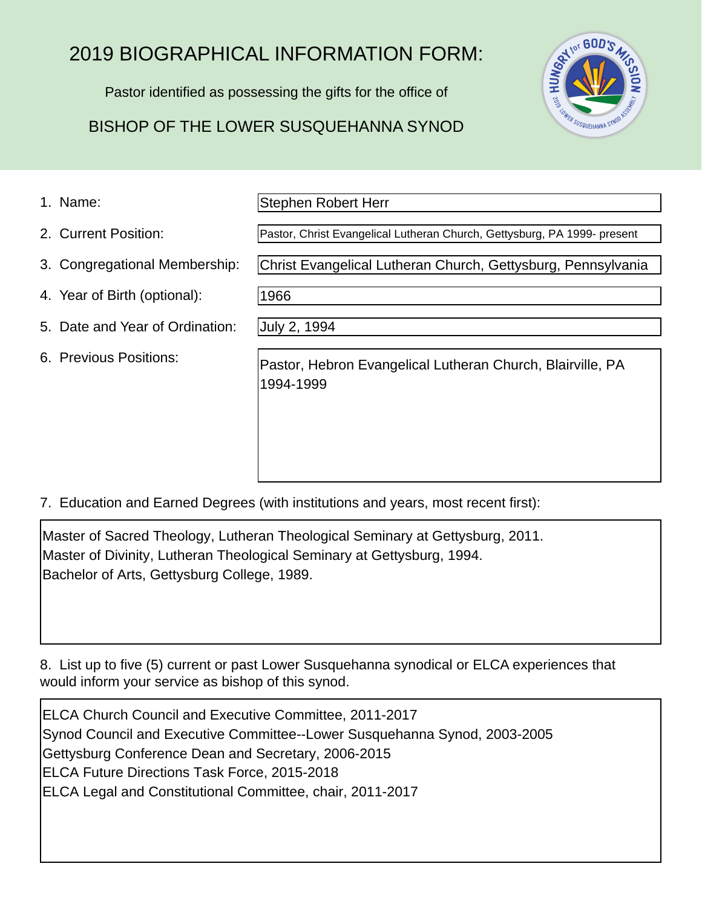# 2019 BIOGRAPHICAL INFORMATION FORM:

Pastor identified as possessing the gifts for the office of

## BISHOP OF THE LOWER SUSQUEHANNA SYNOD



1. Name:

Stephen Robert Herr

- 2. Current Position:
- 3. Congregational Membership:
- 4. Year of Birth (optional):
- 5. Date and Year of Ordination:
- 6. Previous Positions:

Pastor, Christ Evangelical Lutheran Church, Gettysburg, PA 1999- present

Christ Evangelical Lutheran Church, Gettysburg, Pennsylvania

1966

July 2, 1994

Pastor, Hebron Evangelical Lutheran Church, Blairville, PA 1994-1999

7. Education and Earned Degrees (with institutions and years, most recent first):

Master of Sacred Theology, Lutheran Theological Seminary at Gettysburg, 2011. Master of Divinity, Lutheran Theological Seminary at Gettysburg, 1994. Bachelor of Arts, Gettysburg College, 1989.

8. List up to five (5) current or past Lower Susquehanna synodical or ELCA experiences that would inform your service as bishop of this synod.

ELCA Church Council and Executive Committee, 2011-2017 Synod Council and Executive Committee--Lower Susquehanna Synod, 2003-2005 Gettysburg Conference Dean and Secretary, 2006-2015 ELCA Future Directions Task Force, 2015-2018 ELCA Legal and Constitutional Committee, chair, 2011-2017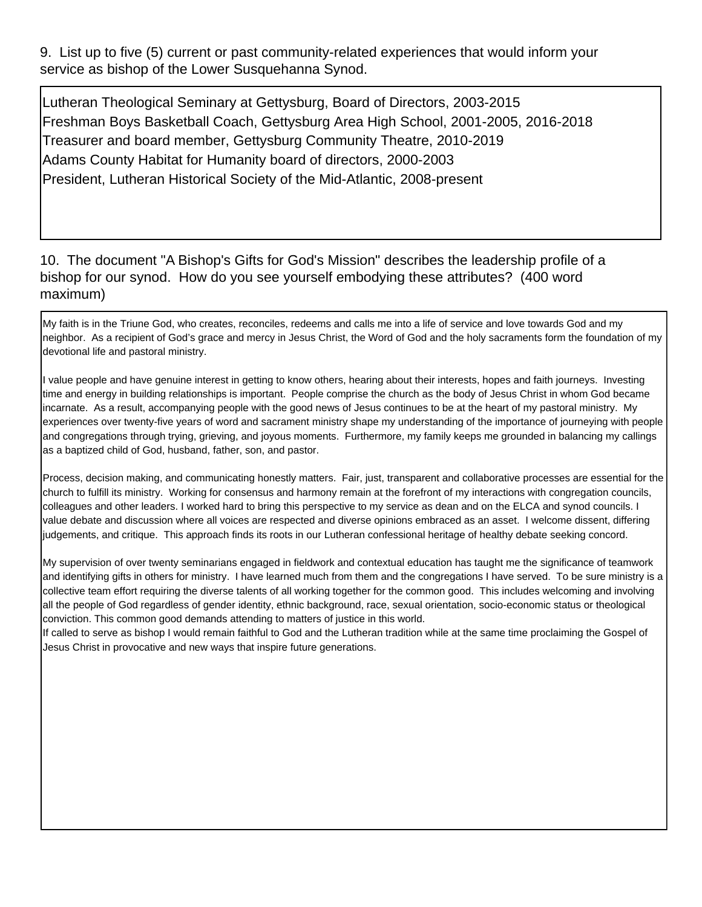9. List up to five (5) current or past community-related experiences that would inform your service as bishop of the Lower Susquehanna Synod.

Lutheran Theological Seminary at Gettysburg, Board of Directors, 2003-2015 Freshman Boys Basketball Coach, Gettysburg Area High School, 2001-2005, 2016-2018 Treasurer and board member, Gettysburg Community Theatre, 2010-2019 Adams County Habitat for Humanity board of directors, 2000-2003 President, Lutheran Historical Society of the Mid-Atlantic, 2008-present

#### 10. The document "A Bishop's Gifts for God's Mission" describes the leadership profile of a bishop for our synod. How do you see yourself embodying these attributes? (400 word maximum)

My faith is in the Triune God, who creates, reconciles, redeems and calls me into a life of service and love towards God and my neighbor. As a recipient of God's grace and mercy in Jesus Christ, the Word of God and the holy sacraments form the foundation of my devotional life and pastoral ministry.

I value people and have genuine interest in getting to know others, hearing about their interests, hopes and faith journeys. Investing time and energy in building relationships is important. People comprise the church as the body of Jesus Christ in whom God became incarnate. As a result, accompanying people with the good news of Jesus continues to be at the heart of my pastoral ministry. My experiences over twenty-five years of word and sacrament ministry shape my understanding of the importance of journeying with people and congregations through trying, grieving, and joyous moments. Furthermore, my family keeps me grounded in balancing my callings as a baptized child of God, husband, father, son, and pastor.

Process, decision making, and communicating honestly matters. Fair, just, transparent and collaborative processes are essential for the church to fulfill its ministry. Working for consensus and harmony remain at the forefront of my interactions with congregation councils, colleagues and other leaders. I worked hard to bring this perspective to my service as dean and on the ELCA and synod councils. I value debate and discussion where all voices are respected and diverse opinions embraced as an asset. I welcome dissent, differing judgements, and critique. This approach finds its roots in our Lutheran confessional heritage of healthy debate seeking concord.

My supervision of over twenty seminarians engaged in fieldwork and contextual education has taught me the significance of teamwork and identifying gifts in others for ministry. I have learned much from them and the congregations I have served. To be sure ministry is a collective team effort requiring the diverse talents of all working together for the common good. This includes welcoming and involving all the people of God regardless of gender identity, ethnic background, race, sexual orientation, socio-economic status or theological conviction. This common good demands attending to matters of justice in this world.

If called to serve as bishop I would remain faithful to God and the Lutheran tradition while at the same time proclaiming the Gospel of Jesus Christ in provocative and new ways that inspire future generations.